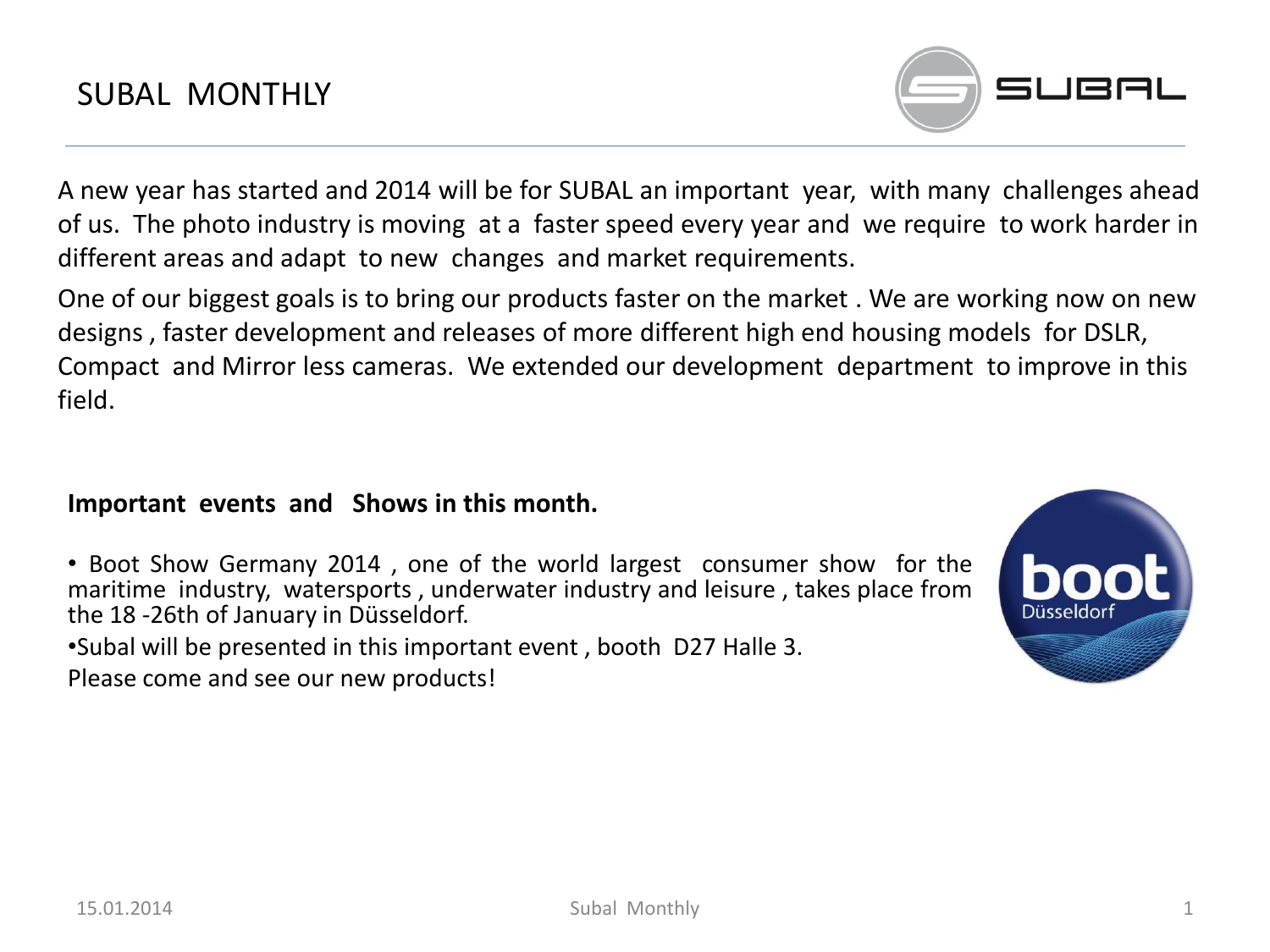

A new year has started and 2014 will be for SUBAL an important year, with many challenges ahead of us. The photo industry is moving at a faster speed every year and we require to work harder in different areas and adapt to new changes and market requirements.

One of our biggest goals is to bring our products faster on the market . We are working now on new designs , faster development and releases of more different high end housing models for DSLR, Compact and Mirror less cameras. We extended our development department to improve in this field.

### **Important events and Shows in this month.**

- Boot Show Germany 2014 , one of the world largest consumer show for the maritime industry, watersports , underwater industry and leisure , takes place from the 18 -26th of January in Düsseldorf.
- •Subal will be presented in this important event , booth D27 Halle 3. Please come and see our new products!

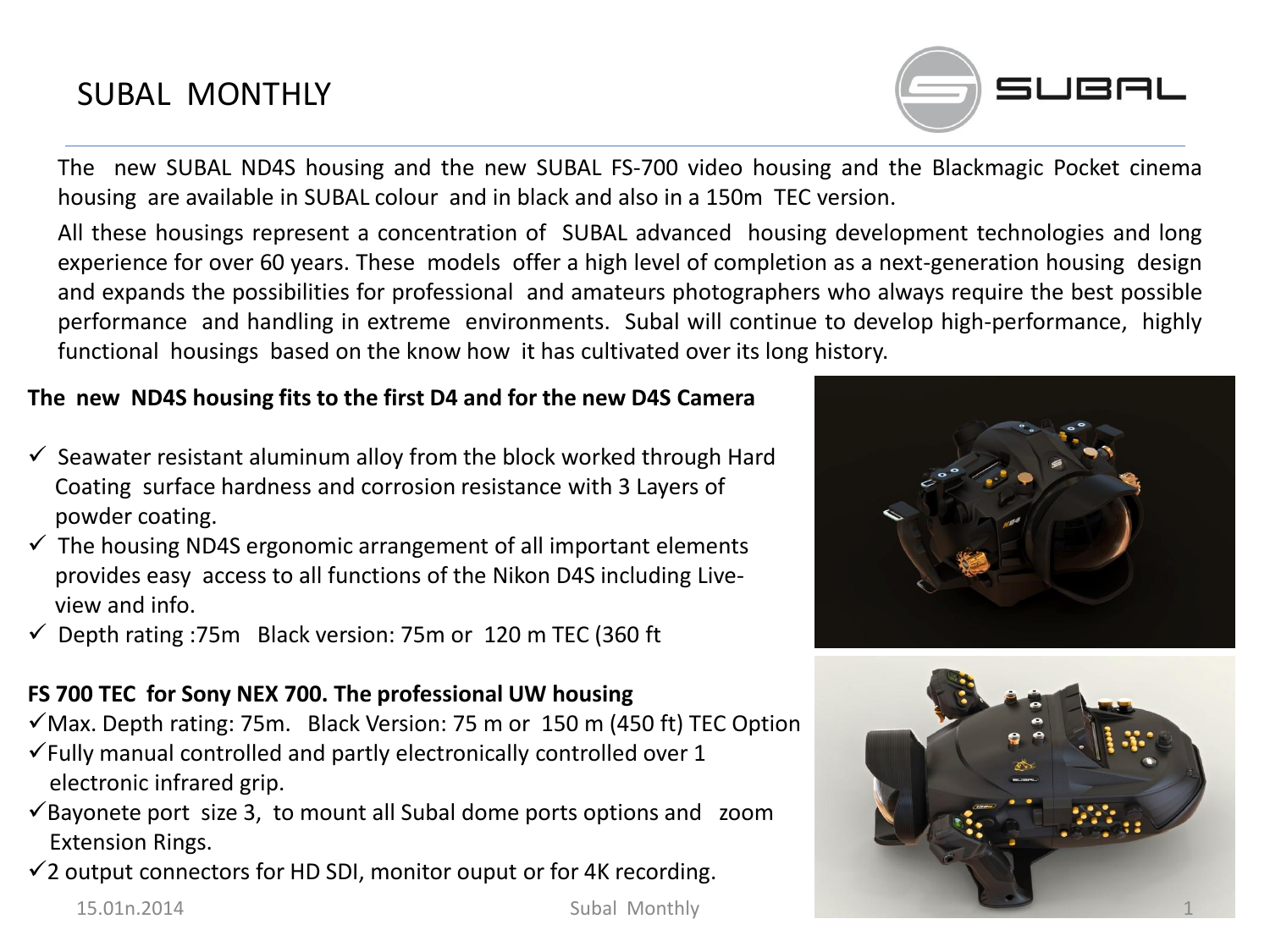# SUBAL MONTHLY

The new SUBAL ND4S housing and the new SUBAL FS-700 video housing and the Blackmagic Pocket cinema housing are available in SUBAL colour and in black and also in a 150m TEC version.

All these housings represent a concentration of SUBAL advanced housing development technologies and long experience for over 60 years. These models offer a high level of completion as a next-generation housing design and expands the possibilities for professional and amateurs photographers who always require the best possible performance and handling in extreme environments. Subal will continue to develop high-performance, highly functional housings based on the know how it has cultivated over its long history.

#### **The new ND4S housing fits to the first D4 and for the new D4S Camera**

- $\checkmark$  Seawater resistant aluminum alloy from the block worked through Hard Coating surface hardness and corrosion resistance with 3 Layers of powder coating.
- $\checkmark$  The housing ND4S ergonomic arrangement of all important elements provides easy access to all functions of the Nikon D4S including Live view and info.
- $\checkmark$  Depth rating :75m Black version: 75m or 120 m TEC (360 ft

### **FS 700 TEC for Sony NEX 700. The professional UW housing**

- $\checkmark$  Max. Depth rating: 75m. Black Version: 75 m or 150 m (450 ft) TEC Option
- $\checkmark$  Fully manual controlled and partly electronically controlled over 1 electronic infrared grip.
- $\checkmark$ Bayonete port size 3, to mount all Subal dome ports options and zoom Extension Rings.
- $\checkmark$  2 output connectors for HD SDI, monitor ouput or for 4K recording.





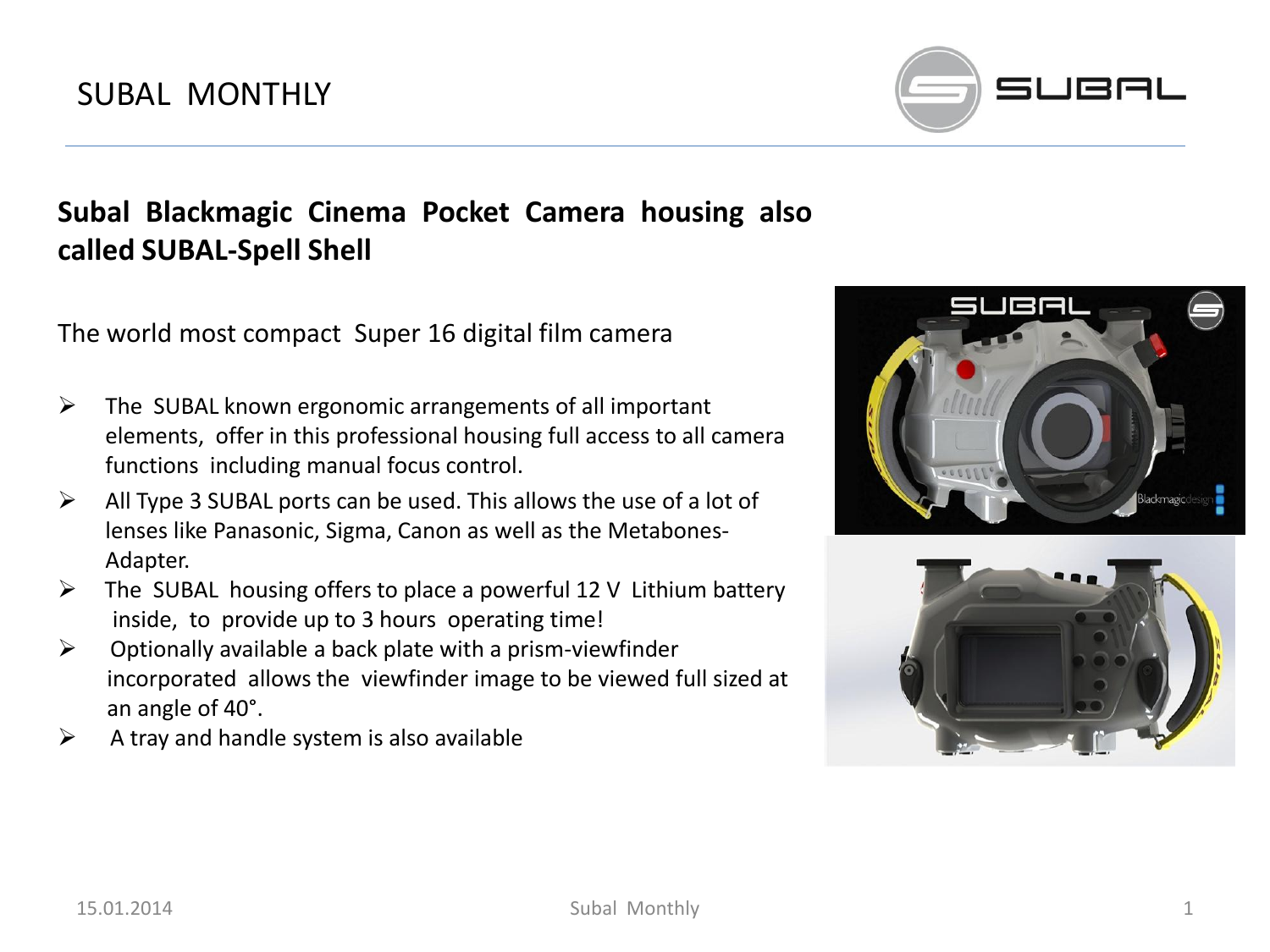# SUBAL MONTHLY



# **Subal Blackmagic Cinema Pocket Camera housing also called SUBAL-Spell Shell**

The world most compact Super 16 digital film camera

- $\triangleright$  The SUBAL known ergonomic arrangements of all important elements, offer in this professional housing full access to all camera functions including manual focus control.
- $\triangleright$  All Type 3 SUBAL ports can be used. This allows the use of a lot of lenses like Panasonic, Sigma, Canon as well as the Metabones-Adapter.
- $\triangleright$  The SUBAL housing offers to place a powerful 12 V Lithium battery inside, to provide up to 3 hours operating time!
- $\triangleright$  Optionally available a back plate with a prism-viewfinder incorporated allows the viewfinder image to be viewed full sized at an angle of 40°.
- $\triangleright$  A tray and handle system is also available



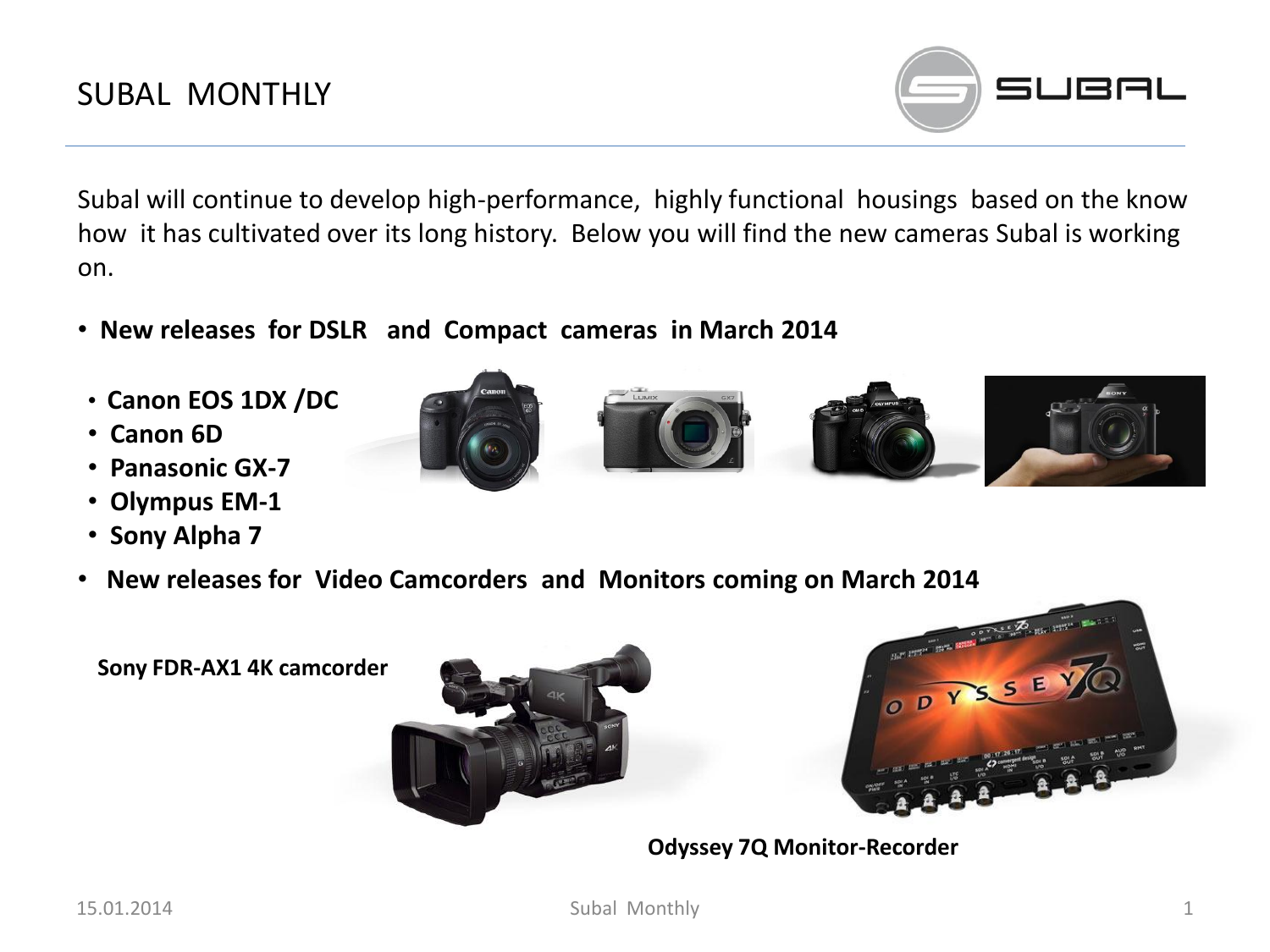

Subal will continue to develop high-performance, highly functional housings based on the know how it has cultivated over its long history. Below you will find the new cameras Subal is working on.

- • **New releases for DSLR and Compact cameras in March 2014**
- **Canon EOS 1DX /DC**
- • **Canon 6D**
- • **Panasonic GX-7**
- • **Olympus EM-1**
- • **Sony Alpha 7**
- • **New releases for Video Camcorders and Monitors coming on March 2014**

**Sony FDR-AX1 4K camcorder**





**Odyssey 7Q Monitor-Recorder**